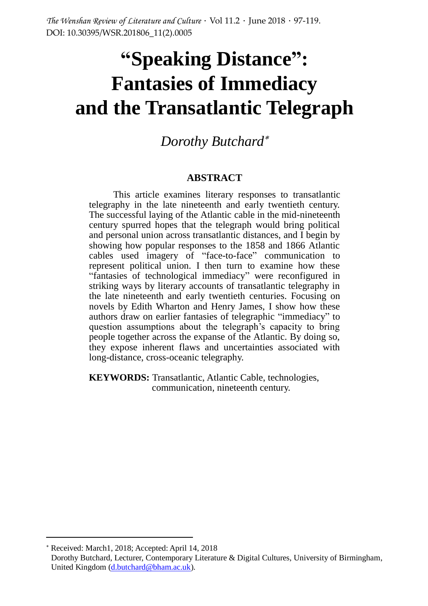# **"Speaking Distance": Fantasies of Immediacy and the Transatlantic Telegraph**

*Dorothy Butchard*

#### **ABSTRACT**

This article examines literary responses to transatlantic telegraphy in the late nineteenth and early twentieth century. The successful laying of the Atlantic cable in the mid-nineteenth century spurred hopes that the telegraph would bring political and personal union across transatlantic distances, and I begin by showing how popular responses to the 1858 and 1866 Atlantic cables used imagery of "face-to-face" communication to represent political union. I then turn to examine how these "fantasies of technological immediacy" were reconfigured in striking ways by literary accounts of transatlantic telegraphy in the late nineteenth and early twentieth centuries. Focusing on novels by Edith Wharton and Henry James, I show how these authors draw on earlier fantasies of telegraphic "immediacy" to question assumptions about the telegraph's capacity to bring people together across the expanse of the Atlantic. By doing so, they expose inherent flaws and uncertainties associated with long-distance, cross-oceanic telegraphy.

**KEYWORDS:** Transatlantic, Atlantic Cable, technologies, communication, nineteenth century.

 $\overline{a}$ 

Received: March1, 2018; Accepted: April 14, 2018

Dorothy Butchard, Lecturer, Contemporary Literature & Digital Cultures, University of Birmingham, United Kingdom [\(d.butchard@bham.ac.uk\)](mailto:d.butchard@bham.ac.uk).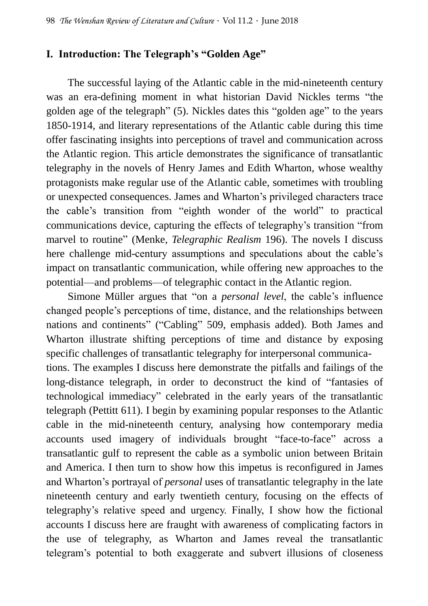## **I. Introduction: The Telegraph's "Golden Age"**

The successful laying of the Atlantic cable in the mid-nineteenth century was an era-defining moment in what historian David Nickles terms "the golden age of the telegraph" (5). Nickles dates this "golden age" to the years 1850-1914, and literary representations of the Atlantic cable during this time offer fascinating insights into perceptions of travel and communication across the Atlantic region. This article demonstrates the significance of transatlantic telegraphy in the novels of Henry James and Edith Wharton, whose wealthy protagonists make regular use of the Atlantic cable, sometimes with troubling or unexpected consequences. James and Wharton's privileged characters trace the cable's transition from "eighth wonder of the world" to practical communications device, capturing the effects of telegraphy's transition "from marvel to routine" (Menke, *Telegraphic Realism* 196). The novels I discuss here challenge mid-century assumptions and speculations about the cable's impact on transatlantic communication, while offering new approaches to the potential—and problems—of telegraphic contact in the Atlantic region.

Simone Müller argues that "on a *personal level*, the cable's influence changed people's perceptions of time, distance, and the relationships between nations and continents" ("Cabling" 509, emphasis added). Both James and Wharton illustrate shifting perceptions of time and distance by exposing specific challenges of transatlantic telegraphy for interpersonal communications. The examples I discuss here demonstrate the pitfalls and failings of the long-distance telegraph, in order to deconstruct the kind of "fantasies of technological immediacy" celebrated in the early years of the transatlantic telegraph (Pettitt 611). I begin by examining popular responses to the Atlantic cable in the mid-nineteenth century, analysing how contemporary media accounts used imagery of individuals brought "face-to-face" across a transatlantic gulf to represent the cable as a symbolic union between Britain and America. I then turn to show how this impetus is reconfigured in James and Wharton's portrayal of *personal* uses of transatlantic telegraphy in the late nineteenth century and early twentieth century, focusing on the effects of telegraphy's relative speed and urgency. Finally, I show how the fictional accounts I discuss here are fraught with awareness of complicating factors in the use of telegraphy, as Wharton and James reveal the transatlantic telegram's potential to both exaggerate and subvert illusions of closeness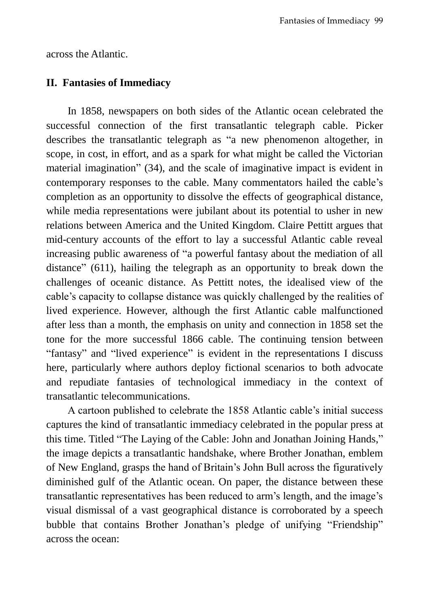across the Atlantic.

### **II. Fantasies of Immediacy**

In 1858, newspapers on both sides of the Atlantic ocean celebrated the successful connection of the first transatlantic telegraph cable. Picker describes the transatlantic telegraph as "a new phenomenon altogether, in scope, in cost, in effort, and as a spark for what might be called the Victorian material imagination" (34), and the scale of imaginative impact is evident in contemporary responses to the cable. Many commentators hailed the cable's completion as an opportunity to dissolve the effects of geographical distance, while media representations were jubilant about its potential to usher in new relations between America and the United Kingdom. Claire Pettitt argues that mid-century accounts of the effort to lay a successful Atlantic cable reveal increasing public awareness of "a powerful fantasy about the mediation of all distance" (611), hailing the telegraph as an opportunity to break down the challenges of oceanic distance. As Pettitt notes, the idealised view of the cable's capacity to collapse distance was quickly challenged by the realities of lived experience. However, although the first Atlantic cable malfunctioned after less than a month, the emphasis on unity and connection in 1858 set the tone for the more successful 1866 cable. The continuing tension between "fantasy" and "lived experience" is evident in the representations I discuss here, particularly where authors deploy fictional scenarios to both advocate and repudiate fantasies of technological immediacy in the context of transatlantic telecommunications.

A cartoon published to celebrate the 1858 Atlantic cable's initial success captures the kind of transatlantic immediacy celebrated in the popular press at this time. Titled "The Laying of the Cable: John and Jonathan Joining Hands," the image depicts a transatlantic handshake, where Brother Jonathan, emblem of New England, grasps the hand of Britain's John Bull across the figuratively diminished gulf of the Atlantic ocean. On paper, the distance between these transatlantic representatives has been reduced to arm's length, and the image's visual dismissal of a vast geographical distance is corroborated by a speech bubble that contains Brother Jonathan's pledge of unifying "Friendship" across the ocean: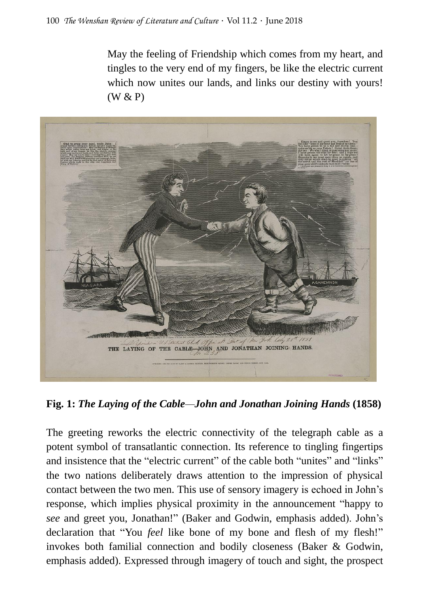May the feeling of Friendship which comes from my heart, and tingles to the very end of my fingers, be like the electric current which now unites our lands, and links our destiny with yours! (W & P)



**Fig. 1:** *The Laying of the Cable—John and Jonathan Joining Hands* **(1858)**

The greeting reworks the electric connectivity of the telegraph cable as a potent symbol of transatlantic connection. Its reference to tingling fingertips and insistence that the "electric current" of the cable both "unites" and "links" the two nations deliberately draws attention to the impression of physical contact between the two men. This use of sensory imagery is echoed in John's response, which implies physical proximity in the announcement "happy to *see* and greet you, Jonathan!" (Baker and Godwin, emphasis added). John's declaration that "You *feel* like bone of my bone and flesh of my flesh!" invokes both familial connection and bodily closeness (Baker & Godwin, emphasis added). Expressed through imagery of touch and sight, the prospect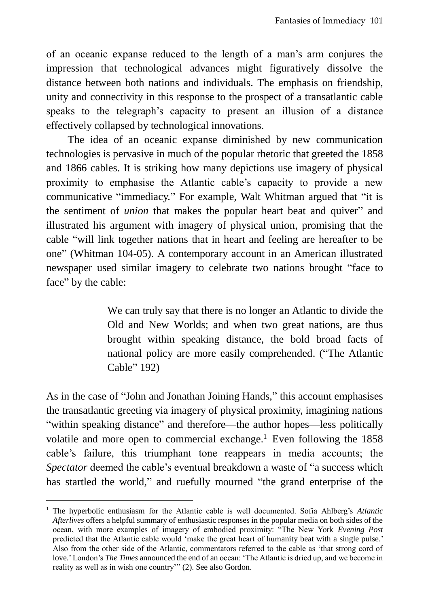of an oceanic expanse reduced to the length of a man's arm conjures the impression that technological advances might figuratively dissolve the distance between both nations and individuals. The emphasis on friendship, unity and connectivity in this response to the prospect of a transatlantic cable speaks to the telegraph's capacity to present an illusion of a distance effectively collapsed by technological innovations.

The idea of an oceanic expanse diminished by new communication technologies is pervasive in much of the popular rhetoric that greeted the 1858 and 1866 cables. It is striking how many depictions use imagery of physical proximity to emphasise the Atlantic cable's capacity to provide a new communicative "immediacy." For example, Walt Whitman argued that "it is the sentiment of *union* that makes the popular heart beat and quiver" and illustrated his argument with imagery of physical union, promising that the cable "will link together nations that in heart and feeling are hereafter to be one" (Whitman 104-05). A contemporary account in an American illustrated newspaper used similar imagery to celebrate two nations brought "face to face" by the cable:

> We can truly say that there is no longer an Atlantic to divide the Old and New Worlds; and when two great nations, are thus brought within speaking distance, the bold broad facts of national policy are more easily comprehended. ("The Atlantic Cable" 192)

As in the case of "John and Jonathan Joining Hands," this account emphasises the transatlantic greeting via imagery of physical proximity, imagining nations "within speaking distance" and therefore—the author hopes—less politically volatile and more open to commercial exchange.<sup>1</sup> Even following the  $1858$ cable's failure, this triumphant tone reappears in media accounts; the *Spectator* deemed the cable's eventual breakdown a waste of "a success which has startled the world," and ruefully mourned "the grand enterprise of the

 $\overline{a}$ 

<sup>1</sup> The hyperbolic enthusiasm for the Atlantic cable is well documented. Sofia Ahlberg's *Atlantic Afterlives* offers a helpful summary of enthusiastic responses in the popular media on both sides of the ocean, with more examples of imagery of embodied proximity: "The New York *Evening Post* predicted that the Atlantic cable would 'make the great heart of humanity beat with a single pulse.' Also from the other side of the Atlantic, commentators referred to the cable as 'that strong cord of love.' London's *The Times* announced the end of an ocean: 'The Atlantic is dried up, and we become in reality as well as in wish one country'" (2). See also Gordon.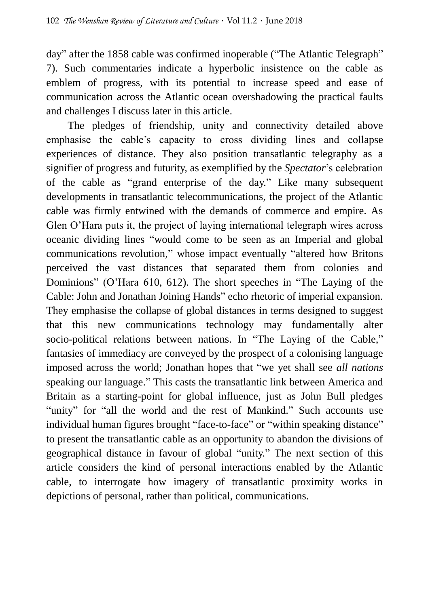day" after the 1858 cable was confirmed inoperable ("The Atlantic Telegraph" 7). Such commentaries indicate a hyperbolic insistence on the cable as emblem of progress, with its potential to increase speed and ease of communication across the Atlantic ocean overshadowing the practical faults and challenges I discuss later in this article.

The pledges of friendship, unity and connectivity detailed above emphasise the cable's capacity to cross dividing lines and collapse experiences of distance. They also position transatlantic telegraphy as a signifier of progress and futurity, as exemplified by the *Spectator*'s celebration of the cable as "grand enterprise of the day." Like many subsequent developments in transatlantic telecommunications, the project of the Atlantic cable was firmly entwined with the demands of commerce and empire. As Glen O'Hara puts it, the project of laying international telegraph wires across oceanic dividing lines "would come to be seen as an Imperial and global communications revolution," whose impact eventually "altered how Britons perceived the vast distances that separated them from colonies and Dominions" (O'Hara 610, 612). The short speeches in "The Laying of the Cable: John and Jonathan Joining Hands" echo rhetoric of imperial expansion. They emphasise the collapse of global distances in terms designed to suggest that this new communications technology may fundamentally alter socio-political relations between nations. In "The Laying of the Cable," fantasies of immediacy are conveyed by the prospect of a colonising language imposed across the world; Jonathan hopes that "we yet shall see *all nations* speaking our language." This casts the transatlantic link between America and Britain as a starting-point for global influence, just as John Bull pledges "unity" for "all the world and the rest of Mankind." Such accounts use individual human figures brought "face-to-face" or "within speaking distance" to present the transatlantic cable as an opportunity to abandon the divisions of geographical distance in favour of global "unity." The next section of this article considers the kind of personal interactions enabled by the Atlantic cable, to interrogate how imagery of transatlantic proximity works in depictions of personal, rather than political, communications.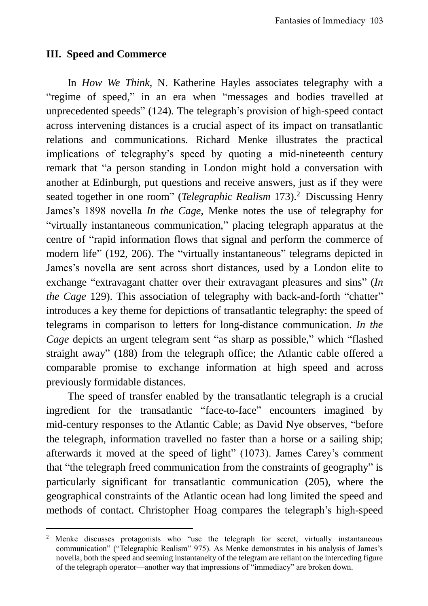### **III. Speed and Commerce**

 $\overline{a}$ 

In *How We Think*, N. Katherine Hayles associates telegraphy with a "regime of speed," in an era when "messages and bodies travelled at unprecedented speeds" (124). The telegraph's provision of high-speed contact across intervening distances is a crucial aspect of its impact on transatlantic relations and communications. Richard Menke illustrates the practical implications of telegraphy's speed by quoting a mid-nineteenth century remark that "a person standing in London might hold a conversation with another at Edinburgh, put questions and receive answers, just as if they were seated together in one room" (*Telegraphic Realism* 173).<sup>2</sup> Discussing Henry James's 1898 novella *In the Cage*, Menke notes the use of telegraphy for "virtually instantaneous communication," placing telegraph apparatus at the centre of "rapid information flows that signal and perform the commerce of modern life" (192, 206). The "virtually instantaneous" telegrams depicted in James's novella are sent across short distances, used by a London elite to exchange "extravagant chatter over their extravagant pleasures and sins" (*In the Cage* 129). This association of telegraphy with back-and-forth "chatter" introduces a key theme for depictions of transatlantic telegraphy: the speed of telegrams in comparison to letters for long-distance communication. *In the Cage* depicts an urgent telegram sent "as sharp as possible," which "flashed straight away" (188) from the telegraph office; the Atlantic cable offered a comparable promise to exchange information at high speed and across previously formidable distances.

The speed of transfer enabled by the transatlantic telegraph is a crucial ingredient for the transatlantic "face-to-face" encounters imagined by mid-century responses to the Atlantic Cable; as David Nye observes, "before the telegraph, information travelled no faster than a horse or a sailing ship; afterwards it moved at the speed of light" (1073). James Carey's comment that "the telegraph freed communication from the constraints of geography" is particularly significant for transatlantic communication (205), where the geographical constraints of the Atlantic ocean had long limited the speed and methods of contact. Christopher Hoag compares the telegraph's high-speed

<sup>&</sup>lt;sup>2</sup> Menke discusses protagonists who "use the telegraph for secret, virtually instantaneous communication" ("Telegraphic Realism" 975). As Menke demonstrates in his analysis of James's novella, both the speed and seeming instantaneity of the telegram are reliant on the interceding figure of the telegraph operator—another way that impressions of "immediacy" are broken down.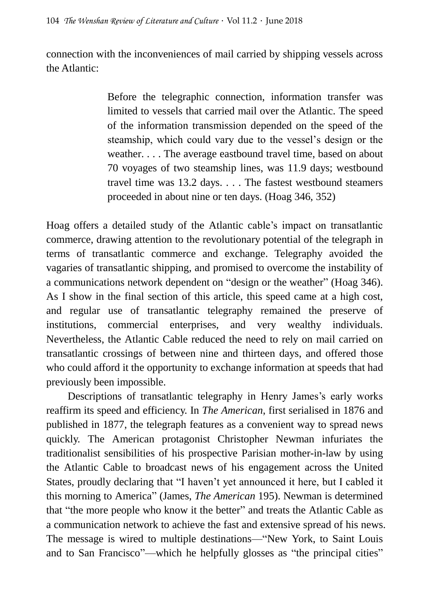connection with the inconveniences of mail carried by shipping vessels across the Atlantic:

> Before the telegraphic connection, information transfer was limited to vessels that carried mail over the Atlantic. The speed of the information transmission depended on the speed of the steamship, which could vary due to the vessel's design or the weather. . . . The average eastbound travel time, based on about 70 voyages of two steamship lines, was 11.9 days; westbound travel time was 13.2 days. . . . The fastest westbound steamers proceeded in about nine or ten days. (Hoag 346, 352)

Hoag offers a detailed study of the Atlantic cable's impact on transatlantic commerce, drawing attention to the revolutionary potential of the telegraph in terms of transatlantic commerce and exchange. Telegraphy avoided the vagaries of transatlantic shipping, and promised to overcome the instability of a communications network dependent on "design or the weather" (Hoag 346). As I show in the final section of this article, this speed came at a high cost, and regular use of transatlantic telegraphy remained the preserve of institutions, commercial enterprises, and very wealthy individuals. Nevertheless, the Atlantic Cable reduced the need to rely on mail carried on transatlantic crossings of between nine and thirteen days, and offered those who could afford it the opportunity to exchange information at speeds that had previously been impossible.

Descriptions of transatlantic telegraphy in Henry James's early works reaffirm its speed and efficiency. In *The American*, first serialised in 1876 and published in 1877, the telegraph features as a convenient way to spread news quickly. The American protagonist Christopher Newman infuriates the traditionalist sensibilities of his prospective Parisian mother-in-law by using the Atlantic Cable to broadcast news of his engagement across the United States, proudly declaring that "I haven't yet announced it here, but I cabled it this morning to America" (James, *The American* 195). Newman is determined that "the more people who know it the better" and treats the Atlantic Cable as a communication network to achieve the fast and extensive spread of his news. The message is wired to multiple destinations—"New York, to Saint Louis and to San Francisco"—which he helpfully glosses as "the principal cities"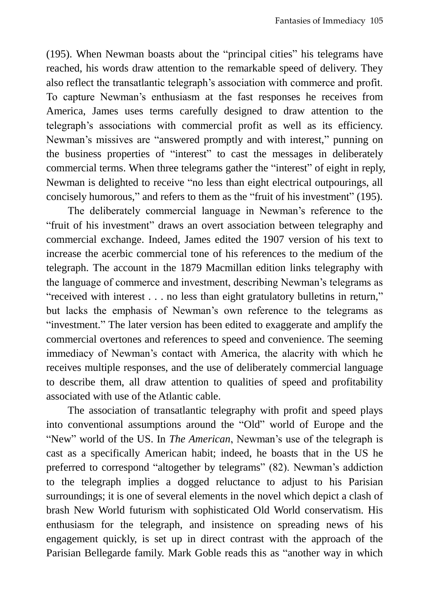(195). When Newman boasts about the "principal cities" his telegrams have reached, his words draw attention to the remarkable speed of delivery. They also reflect the transatlantic telegraph's association with commerce and profit. To capture Newman's enthusiasm at the fast responses he receives from America, James uses terms carefully designed to draw attention to the telegraph's associations with commercial profit as well as its efficiency. Newman's missives are "answered promptly and with interest," punning on the business properties of "interest" to cast the messages in deliberately commercial terms. When three telegrams gather the "interest" of eight in reply, Newman is delighted to receive "no less than eight electrical outpourings, all concisely humorous," and refers to them as the "fruit of his investment" (195).

The deliberately commercial language in Newman's reference to the "fruit of his investment" draws an overt association between telegraphy and commercial exchange. Indeed, James edited the 1907 version of his text to increase the acerbic commercial tone of his references to the medium of the telegraph. The account in the 1879 Macmillan edition links telegraphy with the language of commerce and investment, describing Newman's telegrams as "received with interest . . . no less than eight gratulatory bulletins in return," but lacks the emphasis of Newman's own reference to the telegrams as "investment." The later version has been edited to exaggerate and amplify the commercial overtones and references to speed and convenience. The seeming immediacy of Newman's contact with America, the alacrity with which he receives multiple responses, and the use of deliberately commercial language to describe them, all draw attention to qualities of speed and profitability associated with use of the Atlantic cable.

The association of transatlantic telegraphy with profit and speed plays into conventional assumptions around the "Old" world of Europe and the "New" world of the US. In *The American*, Newman's use of the telegraph is cast as a specifically American habit; indeed, he boasts that in the US he preferred to correspond "altogether by telegrams" (82). Newman's addiction to the telegraph implies a dogged reluctance to adjust to his Parisian surroundings; it is one of several elements in the novel which depict a clash of brash New World futurism with sophisticated Old World conservatism. His enthusiasm for the telegraph, and insistence on spreading news of his engagement quickly, is set up in direct contrast with the approach of the Parisian Bellegarde family. Mark Goble reads this as "another way in which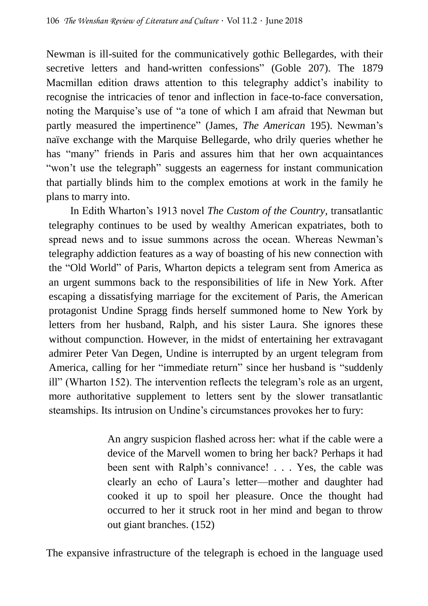Newman is ill-suited for the communicatively gothic Bellegardes, with their secretive letters and hand-written confessions" (Goble 207). The 1879 Macmillan edition draws attention to this telegraphy addict's inability to recognise the intricacies of tenor and inflection in face-to-face conversation, noting the Marquise's use of "a tone of which I am afraid that Newman but partly measured the impertinence" (James, *The American* 195). Newman's naïve exchange with the Marquise Bellegarde, who drily queries whether he has "many" friends in Paris and assures him that her own acquaintances "won't use the telegraph" suggests an eagerness for instant communication that partially blinds him to the complex emotions at work in the family he plans to marry into.

In Edith Wharton's 1913 novel *The Custom of the Country*, transatlantic telegraphy continues to be used by wealthy American expatriates, both to spread news and to issue summons across the ocean. Whereas Newman's telegraphy addiction features as a way of boasting of his new connection with the "Old World" of Paris, Wharton depicts a telegram sent from America as an urgent summons back to the responsibilities of life in New York. After escaping a dissatisfying marriage for the excitement of Paris, the American protagonist Undine Spragg finds herself summoned home to New York by letters from her husband, Ralph, and his sister Laura. She ignores these without compunction. However, in the midst of entertaining her extravagant admirer Peter Van Degen, Undine is interrupted by an urgent telegram from America, calling for her "immediate return" since her husband is "suddenly ill" (Wharton 152). The intervention reflects the telegram's role as an urgent, more authoritative supplement to letters sent by the slower transatlantic steamships. Its intrusion on Undine's circumstances provokes her to fury:

> An angry suspicion flashed across her: what if the cable were a device of the Marvell women to bring her back? Perhaps it had been sent with Ralph's connivance! . . . Yes, the cable was clearly an echo of Laura's letter—mother and daughter had cooked it up to spoil her pleasure. Once the thought had occurred to her it struck root in her mind and began to throw out giant branches. (152)

The expansive infrastructure of the telegraph is echoed in the language used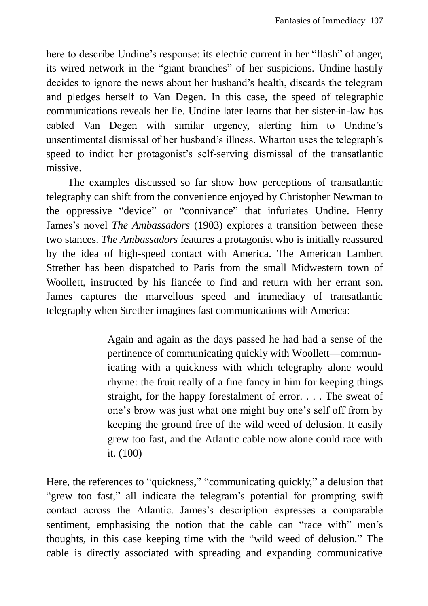here to describe Undine's response: its electric current in her "flash" of anger, its wired network in the "giant branches" of her suspicions. Undine hastily decides to ignore the news about her husband's health, discards the telegram and pledges herself to Van Degen. In this case, the speed of telegraphic communications reveals her lie. Undine later learns that her sister-in-law has cabled Van Degen with similar urgency, alerting him to Undine's unsentimental dismissal of her husband's illness. Wharton uses the telegraph's speed to indict her protagonist's self-serving dismissal of the transatlantic missive.

The examples discussed so far show how perceptions of transatlantic telegraphy can shift from the convenience enjoyed by Christopher Newman to the oppressive "device" or "connivance" that infuriates Undine. Henry James's novel *The Ambassadors* (1903) explores a transition between these two stances. *The Ambassadors* features a protagonist who is initially reassured by the idea of high-speed contact with America. The American Lambert Strether has been dispatched to Paris from the small Midwestern town of Woollett, instructed by his fiancée to find and return with her errant son. James captures the marvellous speed and immediacy of transatlantic telegraphy when Strether imagines fast communications with America:

> Again and again as the days passed he had had a sense of the pertinence of communicating quickly with Woollett—communicating with a quickness with which telegraphy alone would rhyme: the fruit really of a fine fancy in him for keeping things straight, for the happy forestalment of error. . . . The sweat of one's brow was just what one might buy one's self off from by keeping the ground free of the wild weed of delusion. It easily grew too fast, and the Atlantic cable now alone could race with it. (100)

Here, the references to "quickness," "communicating quickly," a delusion that "grew too fast," all indicate the telegram's potential for prompting swift contact across the Atlantic. James's description expresses a comparable sentiment, emphasising the notion that the cable can "race with" men's thoughts, in this case keeping time with the "wild weed of delusion." The cable is directly associated with spreading and expanding communicative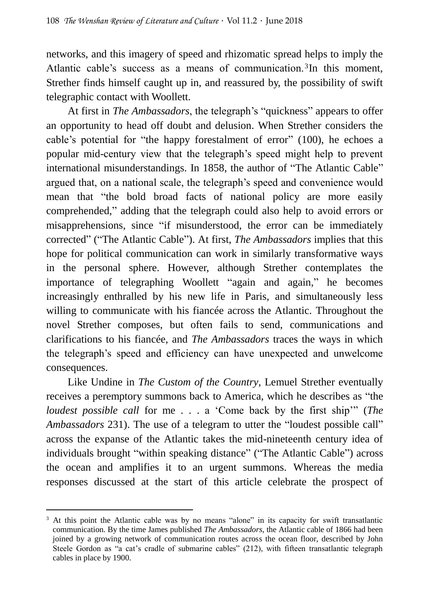networks, and this imagery of speed and rhizomatic spread helps to imply the Atlantic cable's success as a means of communication.<sup>3</sup>In this moment, Strether finds himself caught up in, and reassured by, the possibility of swift telegraphic contact with Woollett.

At first in *The Ambassadors*, the telegraph's "quickness" appears to offer an opportunity to head off doubt and delusion. When Strether considers the cable's potential for "the happy forestalment of error" (100), he echoes a popular mid-century view that the telegraph's speed might help to prevent international misunderstandings. In 1858, the author of "The Atlantic Cable" argued that, on a national scale, the telegraph's speed and convenience would mean that "the bold broad facts of national policy are more easily comprehended," adding that the telegraph could also help to avoid errors or misapprehensions, since "if misunderstood, the error can be immediately corrected" ("The Atlantic Cable"). At first, *The Ambassadors* implies that this hope for political communication can work in similarly transformative ways in the personal sphere. However, although Strether contemplates the importance of telegraphing Woollett "again and again," he becomes increasingly enthralled by his new life in Paris, and simultaneously less willing to communicate with his fiancée across the Atlantic. Throughout the novel Strether composes, but often fails to send, communications and clarifications to his fiancée, and *The Ambassadors* traces the ways in which the telegraph's speed and efficiency can have unexpected and unwelcome consequences.

Like Undine in *The Custom of the Country*, Lemuel Strether eventually receives a peremptory summons back to America, which he describes as "the *loudest possible call* for me . . . a 'Come back by the first ship'" (*The Ambassadors* 231). The use of a telegram to utter the "loudest possible call" across the expanse of the Atlantic takes the mid-nineteenth century idea of individuals brought "within speaking distance" ("The Atlantic Cable") across the ocean and amplifies it to an urgent summons. Whereas the media responses discussed at the start of this article celebrate the prospect of

 $\overline{a}$ <sup>3</sup> At this point the Atlantic cable was by no means "alone" in its capacity for swift transatlantic communication. By the time James published *The Ambassadors*, the Atlantic cable of 1866 had been joined by a growing network of communication routes across the ocean floor, described by John Steele Gordon as "a cat's cradle of submarine cables" (212), with fifteen transatlantic telegraph cables in place by 1900.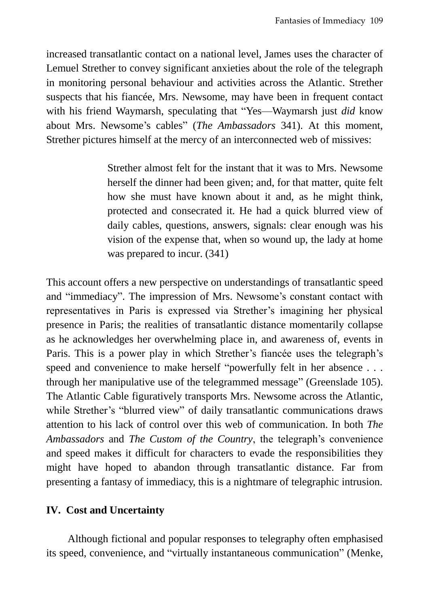increased transatlantic contact on a national level, James uses the character of Lemuel Strether to convey significant anxieties about the role of the telegraph in monitoring personal behaviour and activities across the Atlantic. Strether suspects that his fiancée, Mrs. Newsome, may have been in frequent contact with his friend Waymarsh, speculating that "Yes—Waymarsh just *did* know about Mrs. Newsome's cables" (*The Ambassadors* 341). At this moment, Strether pictures himself at the mercy of an interconnected web of missives:

> Strether almost felt for the instant that it was to Mrs. Newsome herself the dinner had been given; and, for that matter, quite felt how she must have known about it and, as he might think, protected and consecrated it. He had a quick blurred view of daily cables, questions, answers, signals: clear enough was his vision of the expense that, when so wound up, the lady at home was prepared to incur. (341)

This account offers a new perspective on understandings of transatlantic speed and "immediacy". The impression of Mrs. Newsome's constant contact with representatives in Paris is expressed via Strether's imagining her physical presence in Paris; the realities of transatlantic distance momentarily collapse as he acknowledges her overwhelming place in, and awareness of, events in Paris. This is a power play in which Strether's fiancée uses the telegraph's speed and convenience to make herself "powerfully felt in her absence . . . through her manipulative use of the telegrammed message" (Greenslade 105). The Atlantic Cable figuratively transports Mrs. Newsome across the Atlantic, while Strether's "blurred view" of daily transatlantic communications draws attention to his lack of control over this web of communication. In both *The Ambassadors* and *The Custom of the Country*, the telegraph's convenience and speed makes it difficult for characters to evade the responsibilities they might have hoped to abandon through transatlantic distance. Far from presenting a fantasy of immediacy, this is a nightmare of telegraphic intrusion.

#### **IV. Cost and Uncertainty**

Although fictional and popular responses to telegraphy often emphasised its speed, convenience, and "virtually instantaneous communication" (Menke,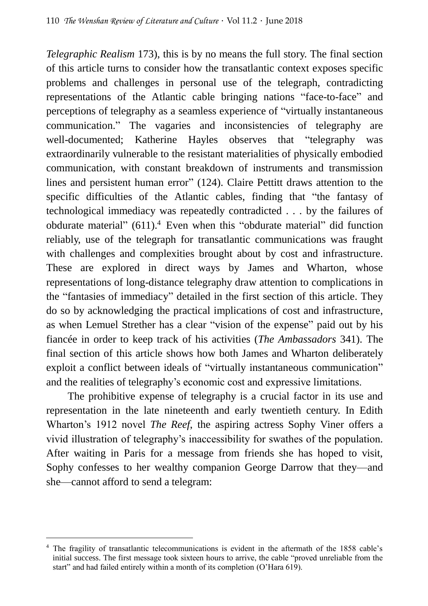*Telegraphic Realism* 173), this is by no means the full story. The final section of this article turns to consider how the transatlantic context exposes specific problems and challenges in personal use of the telegraph, contradicting representations of the Atlantic cable bringing nations "face-to-face" and perceptions of telegraphy as a seamless experience of "virtually instantaneous communication." The vagaries and inconsistencies of telegraphy are well-documented; Katherine Hayles observes that "telegraphy was extraordinarily vulnerable to the resistant materialities of physically embodied communication, with constant breakdown of instruments and transmission lines and persistent human error" (124). Claire Pettitt draws attention to the specific difficulties of the Atlantic cables, finding that "the fantasy of technological immediacy was repeatedly contradicted . . . by the failures of obdurate material" (611).<sup>4</sup> Even when this "obdurate material" did function reliably, use of the telegraph for transatlantic communications was fraught with challenges and complexities brought about by cost and infrastructure. These are explored in direct ways by James and Wharton, whose representations of long-distance telegraphy draw attention to complications in the "fantasies of immediacy" detailed in the first section of this article. They do so by acknowledging the practical implications of cost and infrastructure, as when Lemuel Strether has a clear "vision of the expense" paid out by his fiancée in order to keep track of his activities (*The Ambassadors* 341). The final section of this article shows how both James and Wharton deliberately exploit a conflict between ideals of "virtually instantaneous communication" and the realities of telegraphy's economic cost and expressive limitations.

The prohibitive expense of telegraphy is a crucial factor in its use and representation in the late nineteenth and early twentieth century. In Edith Wharton's 1912 novel *The Reef*, the aspiring actress Sophy Viner offers a vivid illustration of telegraphy's inaccessibility for swathes of the population*.*  After waiting in Paris for a message from friends she has hoped to visit, Sophy confesses to her wealthy companion George Darrow that they—and she—cannot afford to send a telegram:

 $\overline{a}$ 

<sup>4</sup> The fragility of transatlantic telecommunications is evident in the aftermath of the 1858 cable's initial success. The first message took sixteen hours to arrive, the cable "proved unreliable from the start" and had failed entirely within a month of its completion (O'Hara 619).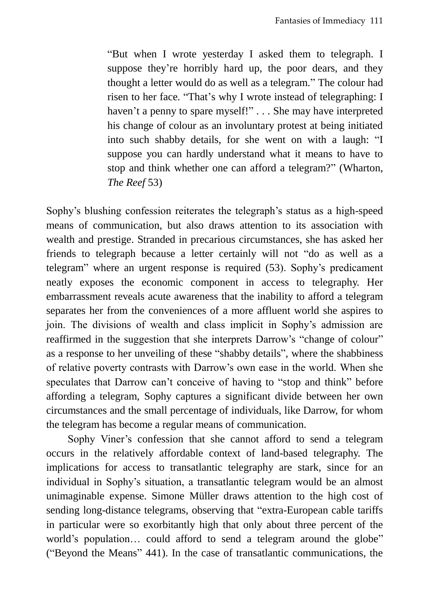"But when I wrote yesterday I asked them to telegraph. I suppose they're horribly hard up, the poor dears, and they thought a letter would do as well as a telegram." The colour had risen to her face. "That's why I wrote instead of telegraphing: I haven't a penny to spare myself!" . . . She may have interpreted his change of colour as an involuntary protest at being initiated into such shabby details, for she went on with a laugh: "I suppose you can hardly understand what it means to have to stop and think whether one can afford a telegram?" (Wharton, *The Reef* 53)

Sophy's blushing confession reiterates the telegraph's status as a high-speed means of communication, but also draws attention to its association with wealth and prestige. Stranded in precarious circumstances, she has asked her friends to telegraph because a letter certainly will not "do as well as a telegram" where an urgent response is required (53). Sophy's predicament neatly exposes the economic component in access to telegraphy. Her embarrassment reveals acute awareness that the inability to afford a telegram separates her from the conveniences of a more affluent world she aspires to join. The divisions of wealth and class implicit in Sophy's admission are reaffirmed in the suggestion that she interprets Darrow's "change of colour" as a response to her unveiling of these "shabby details", where the shabbiness of relative poverty contrasts with Darrow's own ease in the world. When she speculates that Darrow can't conceive of having to "stop and think" before affording a telegram, Sophy captures a significant divide between her own circumstances and the small percentage of individuals, like Darrow, for whom the telegram has become a regular means of communication.

Sophy Viner's confession that she cannot afford to send a telegram occurs in the relatively affordable context of land-based telegraphy. The implications for access to transatlantic telegraphy are stark, since for an individual in Sophy's situation, a transatlantic telegram would be an almost unimaginable expense. Simone Müller draws attention to the high cost of sending long-distance telegrams, observing that "extra-European cable tariffs in particular were so exorbitantly high that only about three percent of the world's population... could afford to send a telegram around the globe" ("Beyond the Means" 441). In the case of transatlantic communications, the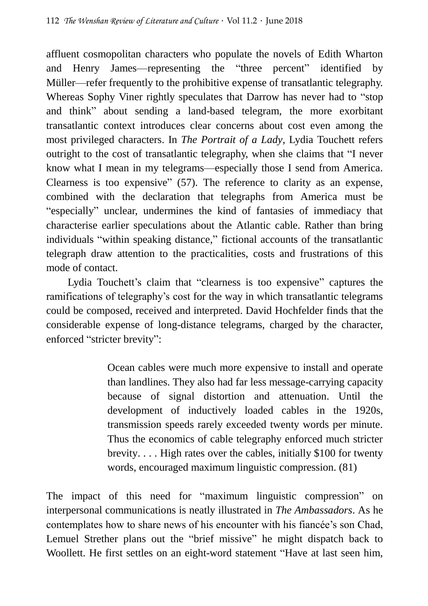affluent cosmopolitan characters who populate the novels of Edith Wharton and Henry James—representing the "three percent" identified by Müller—refer frequently to the prohibitive expense of transatlantic telegraphy. Whereas Sophy Viner rightly speculates that Darrow has never had to "stop and think" about sending a land-based telegram, the more exorbitant transatlantic context introduces clear concerns about cost even among the most privileged characters. In *The Portrait of a Lady*, Lydia Touchett refers outright to the cost of transatlantic telegraphy, when she claims that "I never know what I mean in my telegrams—especially those I send from America. Clearness is too expensive" (57). The reference to clarity as an expense, combined with the declaration that telegraphs from America must be "especially" unclear, undermines the kind of fantasies of immediacy that characterise earlier speculations about the Atlantic cable. Rather than bring individuals "within speaking distance," fictional accounts of the transatlantic telegraph draw attention to the practicalities, costs and frustrations of this mode of contact.

Lydia Touchett's claim that "clearness is too expensive" captures the ramifications of telegraphy's cost for the way in which transatlantic telegrams could be composed, received and interpreted. David Hochfelder finds that the considerable expense of long-distance telegrams, charged by the character, enforced "stricter brevity":

> Ocean cables were much more expensive to install and operate than landlines. They also had far less message-carrying capacity because of signal distortion and attenuation. Until the development of inductively loaded cables in the 1920s, transmission speeds rarely exceeded twenty words per minute. Thus the economics of cable telegraphy enforced much stricter brevity. . . . High rates over the cables, initially \$100 for twenty words, encouraged maximum linguistic compression. (81)

The impact of this need for "maximum linguistic compression" on interpersonal communications is neatly illustrated in *The Ambassadors*. As he contemplates how to share news of his encounter with his fiancée's son Chad, Lemuel Strether plans out the "brief missive" he might dispatch back to Woollett. He first settles on an eight-word statement "Have at last seen him,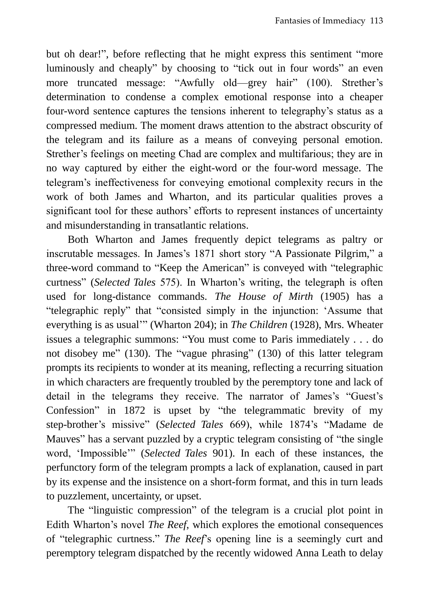but oh dear!", before reflecting that he might express this sentiment "more luminously and cheaply" by choosing to "tick out in four words" an even more truncated message: "Awfully old—grey hair" (100). Strether's determination to condense a complex emotional response into a cheaper four-word sentence captures the tensions inherent to telegraphy's status as a compressed medium. The moment draws attention to the abstract obscurity of the telegram and its failure as a means of conveying personal emotion. Strether's feelings on meeting Chad are complex and multifarious; they are in no way captured by either the eight-word or the four-word message. The telegram's ineffectiveness for conveying emotional complexity recurs in the work of both James and Wharton, and its particular qualities proves a significant tool for these authors' efforts to represent instances of uncertainty and misunderstanding in transatlantic relations.

Both Wharton and James frequently depict telegrams as paltry or inscrutable messages. In James's 1871 short story "A Passionate Pilgrim," a three-word command to "Keep the American" is conveyed with "telegraphic curtness" (*Selected Tales* 575). In Wharton's writing, the telegraph is often used for long-distance commands. *The House of Mirth* (1905) has a "telegraphic reply" that "consisted simply in the injunction: 'Assume that everything is as usual'" (Wharton 204); in *The Children* (1928), Mrs. Wheater issues a telegraphic summons: "You must come to Paris immediately . . . do not disobey me" (130). The "vague phrasing" (130) of this latter telegram prompts its recipients to wonder at its meaning, reflecting a recurring situation in which characters are frequently troubled by the peremptory tone and lack of detail in the telegrams they receive. The narrator of James's "Guest's Confession" in 1872 is upset by "the telegrammatic brevity of my step-brother's missive" (*Selected Tales* 669), while 1874's "Madame de Mauves" has a servant puzzled by a cryptic telegram consisting of "the single word, 'Impossible'" (*Selected Tales* 901). In each of these instances, the perfunctory form of the telegram prompts a lack of explanation, caused in part by its expense and the insistence on a short-form format, and this in turn leads to puzzlement, uncertainty, or upset.

The "linguistic compression" of the telegram is a crucial plot point in Edith Wharton's novel *The Reef*, which explores the emotional consequences of "telegraphic curtness." *The Reef*'s opening line is a seemingly curt and peremptory telegram dispatched by the recently widowed Anna Leath to delay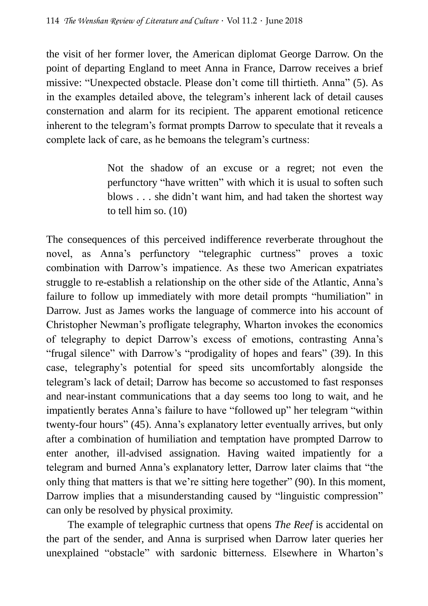the visit of her former lover, the American diplomat George Darrow. On the point of departing England to meet Anna in France, Darrow receives a brief missive: "Unexpected obstacle. Please don't come till thirtieth. Anna" (5). As in the examples detailed above, the telegram's inherent lack of detail causes consternation and alarm for its recipient. The apparent emotional reticence inherent to the telegram's format prompts Darrow to speculate that it reveals a complete lack of care, as he bemoans the telegram's curtness:

> Not the shadow of an excuse or a regret; not even the perfunctory "have written" with which it is usual to soften such blows . . . she didn't want him, and had taken the shortest way to tell him so. (10)

The consequences of this perceived indifference reverberate throughout the novel, as Anna's perfunctory "telegraphic curtness" proves a toxic combination with Darrow's impatience. As these two American expatriates struggle to re-establish a relationship on the other side of the Atlantic, Anna's failure to follow up immediately with more detail prompts "humiliation" in Darrow. Just as James works the language of commerce into his account of Christopher Newman's profligate telegraphy, Wharton invokes the economics of telegraphy to depict Darrow's excess of emotions, contrasting Anna's "frugal silence" with Darrow's "prodigality of hopes and fears" (39). In this case, telegraphy's potential for speed sits uncomfortably alongside the telegram's lack of detail; Darrow has become so accustomed to fast responses and near-instant communications that a day seems too long to wait, and he impatiently berates Anna's failure to have "followed up" her telegram "within twenty-four hours" (45). Anna's explanatory letter eventually arrives, but only after a combination of humiliation and temptation have prompted Darrow to enter another, ill-advised assignation. Having waited impatiently for a telegram and burned Anna's explanatory letter, Darrow later claims that "the only thing that matters is that we're sitting here together" (90). In this moment, Darrow implies that a misunderstanding caused by "linguistic compression" can only be resolved by physical proximity.

The example of telegraphic curtness that opens *The Reef* is accidental on the part of the sender, and Anna is surprised when Darrow later queries her unexplained "obstacle" with sardonic bitterness. Elsewhere in Wharton's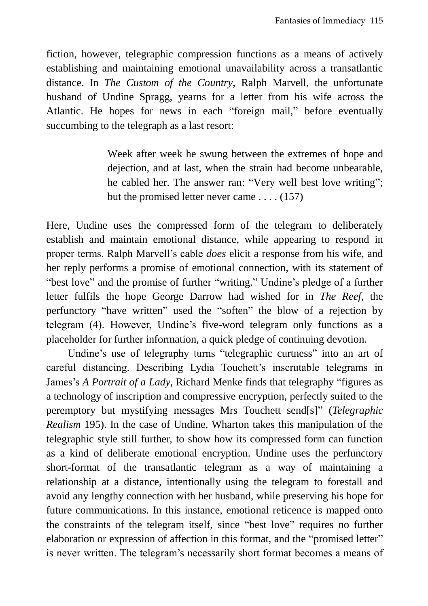fiction, however, telegraphic compression functions as a means of actively establishing and maintaining emotional unavailability across a transatlantic distance. In *The Custom of the Country,* Ralph Marvell, the unfortunate husband of Undine Spragg, yearns for a letter from his wife across the Atlantic. He hopes for news in each "foreign mail," before eventually succumbing to the telegraph as a last resort:

> Week after week he swung between the extremes of hope and dejection, and at last, when the strain had become unbearable, he cabled her. The answer ran: "Very well best love writing"; but the promised letter never came . . . . (157)

Here, Undine uses the compressed form of the telegram to deliberately establish and maintain emotional distance, while appearing to respond in proper terms. Ralph Marvell's cable *does* elicit a response from his wife, and her reply performs a promise of emotional connection, with its statement of "best love" and the promise of further "writing." Undine's pledge of a further letter fulfils the hope George Darrow had wished for in *The Reef*, the perfunctory "have written" used the "soften" the blow of a rejection by telegram (4). However, Undine's five-word telegram only functions as a placeholder for further information, a quick pledge of continuing devotion.

Undine's use of telegraphy turns "telegraphic curtness" into an art of careful distancing. Describing Lydia Touchett's inscrutable telegrams in James's *A Portrait of a Lady*, Richard Menke finds that telegraphy "figures as a technology of inscription and compressive encryption, perfectly suited to the peremptory but mystifying messages Mrs Touchett send[s]" (*Telegraphic Realism* 195). In the case of Undine, Wharton takes this manipulation of the telegraphic style still further, to show how its compressed form can function as a kind of deliberate emotional encryption. Undine uses the perfunctory short-format of the transatlantic telegram as a way of maintaining a relationship at a distance, intentionally using the telegram to forestall and avoid any lengthy connection with her husband, while preserving his hope for future communications. In this instance, emotional reticence is mapped onto the constraints of the telegram itself, since "best love" requires no further elaboration or expression of affection in this format, and the "promised letter" is never written. The telegram's necessarily short format becomes a means of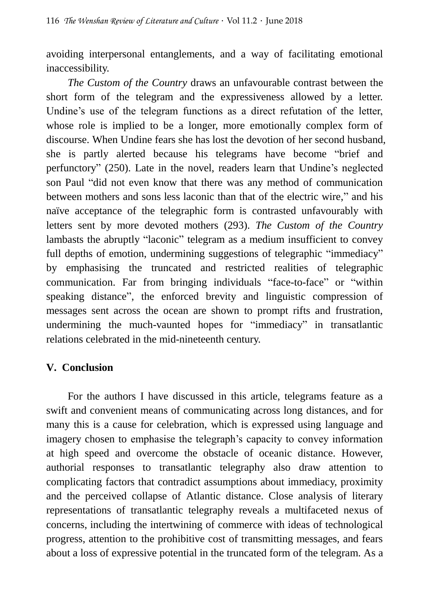avoiding interpersonal entanglements, and a way of facilitating emotional inaccessibility.

*The Custom of the Country* draws an unfavourable contrast between the short form of the telegram and the expressiveness allowed by a letter. Undine's use of the telegram functions as a direct refutation of the letter, whose role is implied to be a longer, more emotionally complex form of discourse. When Undine fears she has lost the devotion of her second husband, she is partly alerted because his telegrams have become "brief and perfunctory" (250). Late in the novel, readers learn that Undine's neglected son Paul "did not even know that there was any method of communication between mothers and sons less laconic than that of the electric wire," and his naïve acceptance of the telegraphic form is contrasted unfavourably with letters sent by more devoted mothers (293). *The Custom of the Country*  lambasts the abruptly "laconic" telegram as a medium insufficient to convey full depths of emotion, undermining suggestions of telegraphic "immediacy" by emphasising the truncated and restricted realities of telegraphic communication. Far from bringing individuals "face-to-face" or "within speaking distance", the enforced brevity and linguistic compression of messages sent across the ocean are shown to prompt rifts and frustration, undermining the much-vaunted hopes for "immediacy" in transatlantic relations celebrated in the mid-nineteenth century.

## **V. Conclusion**

For the authors I have discussed in this article, telegrams feature as a swift and convenient means of communicating across long distances, and for many this is a cause for celebration, which is expressed using language and imagery chosen to emphasise the telegraph's capacity to convey information at high speed and overcome the obstacle of oceanic distance. However, authorial responses to transatlantic telegraphy also draw attention to complicating factors that contradict assumptions about immediacy, proximity and the perceived collapse of Atlantic distance. Close analysis of literary representations of transatlantic telegraphy reveals a multifaceted nexus of concerns, including the intertwining of commerce with ideas of technological progress, attention to the prohibitive cost of transmitting messages, and fears about a loss of expressive potential in the truncated form of the telegram. As a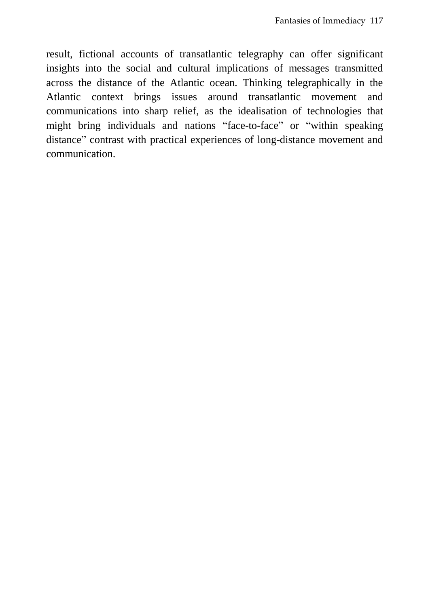result, fictional accounts of transatlantic telegraphy can offer significant insights into the social and cultural implications of messages transmitted across the distance of the Atlantic ocean. Thinking telegraphically in the Atlantic context brings issues around transatlantic movement and communications into sharp relief, as the idealisation of technologies that might bring individuals and nations "face-to-face" or "within speaking distance" contrast with practical experiences of long-distance movement and communication.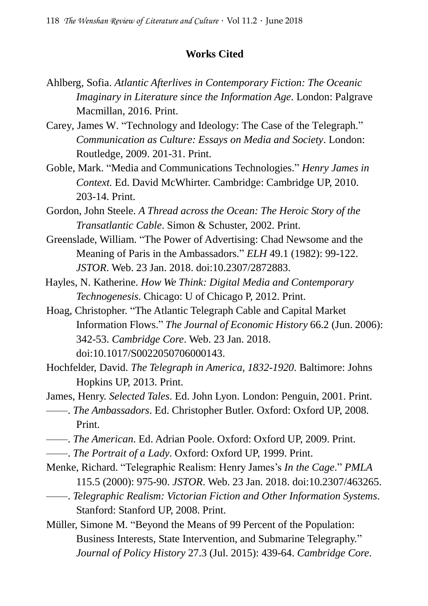#### **Works Cited**

- Ahlberg, Sofia. *Atlantic Afterlives in Contemporary Fiction: The Oceanic Imaginary in Literature since the Information Age*. London: Palgrave Macmillan, 2016. Print.
- Carey, James W. "Technology and Ideology: The Case of the Telegraph." *Communication as Culture: Essays on Media and Society*. London: Routledge, 2009. 201-31. Print.
- Goble, Mark. "Media and Communications Technologies." *Henry James in Context.* Ed. David McWhirter. Cambridge: Cambridge UP, 2010. 203-14. Print.
- Gordon, John Steele. *A Thread across the Ocean: The Heroic Story of the Transatlantic Cable*. Simon & Schuster, 2002. Print.
- Greenslade, William. "The Power of Advertising: Chad Newsome and the Meaning of Paris in the Ambassadors." *ELH* 49.1 (1982): 99-122. *JSTOR*. Web. 23 Jan. 2018. doi:10.2307/2872883.
- Hayles, N. Katherine. *How We Think: Digital Media and Contemporary Technogenesis*. Chicago: U of Chicago P, 2012. Print.
- Hoag, Christopher. "The Atlantic Telegraph Cable and Capital Market Information Flows." *The Journal of Economic History* 66.2 (Jun. 2006): 342-53. *Cambridge Core*. Web. 23 Jan. 2018. doi:10.1017/S0022050706000143.
- Hochfelder, David. *The Telegraph in America, 1832-1920*. Baltimore: Johns Hopkins UP, 2013. Print.

James, Henry. *Selected Tales*. Ed. John Lyon. London: Penguin, 2001. Print.

- ——. *The Ambassadors*. Ed. Christopher Butler. Oxford: Oxford UP, 2008. Print.
- ——. *The American*. Ed. Adrian Poole. Oxford: Oxford UP, 2009. Print.
- ——. *The Portrait of a Lady*. Oxford: Oxford UP, 1999. Print.
- Menke, Richard. "Telegraphic Realism: Henry James's *In the Cage*." *PMLA* 115.5 (2000): 975-90. *JSTOR*. Web. 23 Jan. 2018. doi:10.2307/463265. ——. *Telegraphic Realism: Victorian Fiction and Other Information Systems*.

Stanford: Stanford UP, 2008. Print.

Müller, Simone M. "Beyond the Means of 99 Percent of the Population: Business Interests, State Intervention, and Submarine Telegraphy." *Journal of Policy History* 27.3 (Jul. 2015): 439-64. *Cambridge Core*.